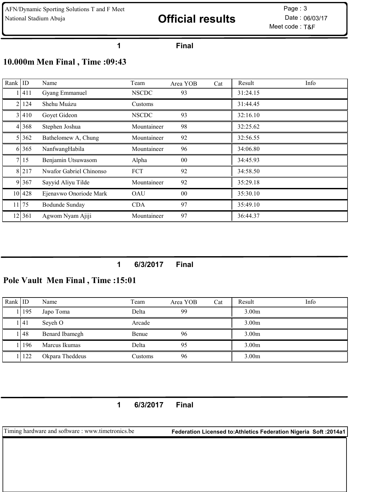# National Stadium Abuja **Example 2018 Official results** Date : 06/03/17

Meet code : T&F Page: 3

#### Final

# 10.000m Men Final , Time :09:43

| Rank $ $ ID |         | Name                    | Team         | Area YOB        | Cat | Result   | Info |
|-------------|---------|-------------------------|--------------|-----------------|-----|----------|------|
|             | 411     | Gyang Emmanuel          | <b>NSCDC</b> | 93              |     | 31:24.15 |      |
| 21          | 124     | Shehu Muázu             | Customs      |                 |     | 31:44.45 |      |
|             | 3   410 | Goyet Gideon            | <b>NSCDC</b> | 93              |     | 32:16.10 |      |
|             | 4 368   | Stephen Joshua          | Mountaineer  | 98              |     | 32:25.62 |      |
|             | 362     | Bathelomew A, Chung     | Mountaineer  | 92              |     | 32:56.55 |      |
|             | 6 365   | NanfwangHabila          | Mountaineer  | 96              |     | 34:06.80 |      |
|             | 7 15    | Benjamin Utsuwasom      | Alpha        | 00              |     | 34:45.93 |      |
|             | 8 217   | Nwafor Gabriel Chinonso | <b>FCT</b>   | 92              |     | 34:58.50 |      |
|             | 9 367   | Sayyid Aliyu Tilde      | Mountaineer  | 92              |     | 35:29.18 |      |
|             | 10 428  | Ejenavwo Onoriode Mark  | <b>OAU</b>   | 00 <sup>°</sup> |     | 35:30.10 |      |
|             | 11 75   | Bodunde Sunday          | <b>CDA</b>   | 97              |     | 35:49.10 |      |
|             | 12 361  | Agwom Nyam Ajiji        | Mountaineer  | 97              |     | 36:44.37 |      |

## 6/3/2017 Final

## Pole Vault Men Final , Time :15:01

| Rank $ $ ID |            | Name            | Team    | Area YOB | Cat | Result            | Info |
|-------------|------------|-----------------|---------|----------|-----|-------------------|------|
|             | 195        | Japo Toma       | Delta   | 99       |     | 3.00 <sub>m</sub> |      |
|             | <u>141</u> | Seyeh O         | Arcade  |          |     | 3.00 <sub>m</sub> |      |
|             | <b>148</b> | Benard Ibamegh  | Benue   | 96       |     | 3.00 <sub>m</sub> |      |
|             | .196       | Marcus Ikumas   | Delta   | 95       |     | 3.00 <sub>m</sub> |      |
|             | 122        | Okpara Theddeus | Customs | 96       |     | 3.00 <sub>m</sub> |      |

6/3/2017 Final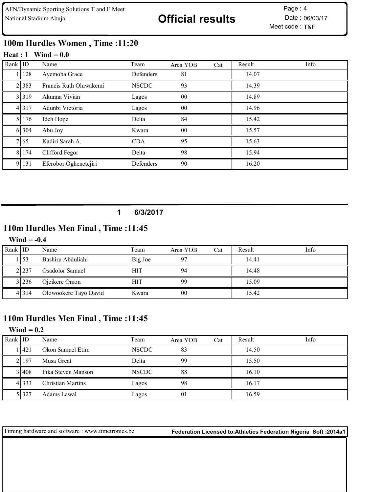# 100m Hurdles Women , Time :11:20

#### Heat :  $1$  Wind = 0.0

| Rank $ $ ID |       | Name                   | Team         | Area YOB       | Cat | Result | Info |
|-------------|-------|------------------------|--------------|----------------|-----|--------|------|
|             | 128   | Ayemoba Grace          | Defenders    | 81             |     | 14.07  |      |
|             | 2 383 | Francis Ruth Oluwakemi | <b>NSCDC</b> | 93             |     | 14.39  |      |
|             | 3.319 | Akunna Vivian          | Lagos        | 00             |     | 14.89  |      |
|             | 4 317 | Adunbi Victoria        | Lagos        | 00             |     | 14.96  |      |
|             | 5 176 | Ideh Hope              | Delta        | 84             |     | 15.42  |      |
|             | 6 304 | Abu Joy                | Kwara        | 0 <sub>0</sub> |     | 15.57  |      |
|             | 7165  | Kadiri Sarah A.        | <b>CDA</b>   | 95             |     | 15.63  |      |
|             | 8 174 | Clifford Fegor         | Delta        | 98             |     | 15.94  |      |
| 9           | 131   | Eferobor Oghenetejiri  | Defenders    | 90             |     | 16.20  |      |

### 1 6/3/2017

## 110m Hurdles Men Final , Time :11:45

#### Wind  $= -0.4$

| Rank ID |         | Name                  | Team       | Area YOB | Cat | Result | Info |
|---------|---------|-----------------------|------------|----------|-----|--------|------|
|         | 153     | Bashiru Abduliahi     | Big Joe    |          |     | 14.41  |      |
|         | 2.237   | Osadolor Samuel       | <b>HIT</b> | 94       |     | 14.48  |      |
|         | 3 236   | Ojeikere Omon         | <b>HIT</b> | 99       |     | 15.09  |      |
|         | 4 3 1 4 | Olowookere Tayo David | Kwara      | 00       |     | 15.42  |      |

# 110m Hurdles Men Final , Time :11:45

#### Wind  $= 0.2$

| Rank IID |         | Name                     | Team         | Area YOB | Cat | Result | Info |
|----------|---------|--------------------------|--------------|----------|-----|--------|------|
|          | 11421   | Okon Samuel Etim         | <b>NSCDC</b> | 83       |     | 14.50  |      |
|          | 2197    | Musa Great               | Delta        | 99       |     | 15.50  |      |
|          | 31408   | Fika Steven Manson       | <b>NSCDC</b> | 88       |     | 16.10  |      |
|          | 4 3 3 3 | <b>Christian Martins</b> | Lagos        | 98       |     | 16.17  |      |
|          | 51327   | Adams Lawal              | Lagos        | 01       |     | 16.59  |      |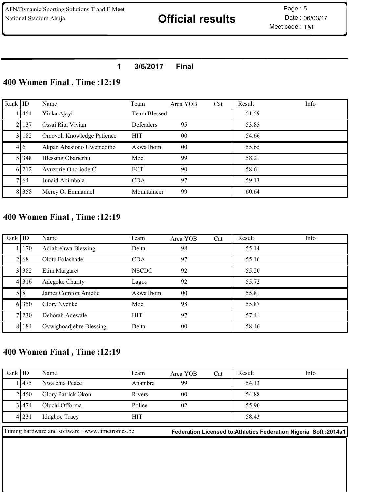### 1 3/6/2017 Final

## 400 Women Final , Time :12:19

| Rank $ $ ID |       | Name                      | Team         | Area YOB       | Cat | Result | Info |
|-------------|-------|---------------------------|--------------|----------------|-----|--------|------|
|             | 1454  | Yinka Ajayi               | Team Blessed |                |     | 51.59  |      |
|             | 2137  | Ossai Rita Vivian         | Defenders    | 95             |     | 53.85  |      |
|             | 31182 | Omovoh Knowledge Patience | <b>HIT</b>   | 0 <sup>0</sup> |     | 54.66  |      |
|             | 416   | Akpan Abasiono Uwemedino  | Akwa Ibom    | 0 <sup>0</sup> |     | 55.65  |      |
|             | 51348 | <b>Blessing Obarierhu</b> | Moc          | 99             |     | 58.21  |      |
|             | 6.212 | Avuzorie Onoriode C.      | <b>FCT</b>   | 90             |     | 58.61  |      |
|             | 7164  | Junaid Abimbola           | <b>CDA</b>   | 97             |     | 59.13  |      |
|             | 8 358 | Mercy O. Emmanuel         | Mountaineer  | 99             |     | 60.64  |      |

# 400 Women Final , Time :12:19

| Rank $ $ ID |           | Name                    | Team         | Area YOB        | Cat | Result | Info |
|-------------|-----------|-------------------------|--------------|-----------------|-----|--------|------|
|             | 1 170     | Adiakrehwa Blessing     | Delta        | 98              |     | 55.14  |      |
|             | 2168      | Olotu Folashade         | <b>CDA</b>   | 97              |     | 55.16  |      |
|             | 3 3 3 3 2 | Etim Margaret           | <b>NSCDC</b> | 92              |     | 55.20  |      |
|             | 4 316     | Adegoke Charity         | Lagos        | 92              |     | 55.72  |      |
|             | 518       | James Comfort Anietie   | Akwa Ibom    | 00 <sup>°</sup> |     | 55.81  |      |
|             | 6 350     | Glory Nyenke            | Moc          | 98              |     | 55.87  |      |
|             | 7 230     | Deborah Adewale         | <b>HIT</b>   | 97              |     | 57.41  |      |
|             | 8   184   | Ovwighoadjebre Blessing | Delta        | 0 <sub>0</sub>  |     | 58.46  |      |

# 400 Women Final , Time :12:19

| Rank $ $ ID |                                                   | Name               | Team       | Area YOB       | Cat | Result | Info                                                               |
|-------------|---------------------------------------------------|--------------------|------------|----------------|-----|--------|--------------------------------------------------------------------|
|             | 11475                                             | Nwalehia Peace     | Anambra    | 99             |     | 54.13  |                                                                    |
|             | 21450                                             | Glory Patrick Okon | Rivers     | 0 <sub>0</sub> |     | 54.88  |                                                                    |
|             | 31474                                             | Oluchi Offorma     | Police     | 02             |     | 55.90  |                                                                    |
|             | 4231                                              | Idugboe Tracy      | <b>HIT</b> |                |     | 58.43  |                                                                    |
|             | Timing hardware and software : www.timetronics.be |                    |            |                |     |        | Federation Licensed to: Athletics Federation Nigeria Soft : 2014a1 |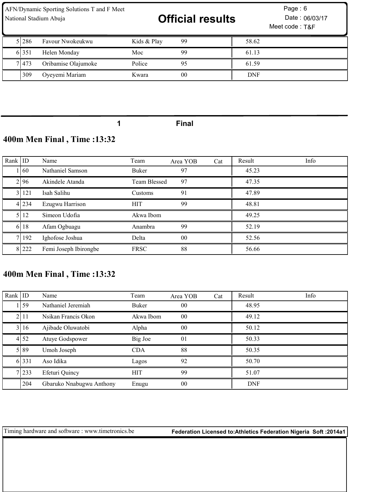| AFN/Dynamic Sporting Solutions T and F Meet<br>National Stadium Abuja |       |                     |             | <b>Official results</b> |            | Page: $6$<br>Date: 06/03/17<br>Meet code: T&F |
|-----------------------------------------------------------------------|-------|---------------------|-------------|-------------------------|------------|-----------------------------------------------|
|                                                                       | 51286 | Favour Nwokeukwu    | Kids & Play | 99                      | 58.62      |                                               |
|                                                                       | 6.351 | Helen Monday        | Moc         | 99                      | 61.13      |                                               |
|                                                                       | 71473 | Oribamise Olajumoke | Police      | 95                      | 61.59      |                                               |
|                                                                       | 309   | Oyeyemi Mariam      | Kwara       | 0 <sub>0</sub>          | <b>DNF</b> |                                               |

Final

# 400m Men Final , Time :13:32

| Rank $ $ ID |       | Name                  | Team         | Area YOB       | Cat | Result | Info |
|-------------|-------|-----------------------|--------------|----------------|-----|--------|------|
|             | 1160  | Nathaniel Samson      | Buker        | 97             |     | 45.23  |      |
|             | 2196  | Akindele Atanda       | Team Blessed | 97             |     | 47.35  |      |
|             | 31121 | Isah Salihu           | Customs      | 91             |     | 47.89  |      |
|             | 4 234 | Ezugwu Harrison       | <b>HIT</b>   | 99             |     | 48.81  |      |
|             | 5112  | Simeon Udofia         | Akwa Ibom    |                |     | 49.25  |      |
|             | 6 18  | Afam Ogbuagu          | Anambra      | 99             |     | 52.19  |      |
|             | 7 192 | Ighofose Joshua       | Delta        | 0 <sub>0</sub> |     | 52.56  |      |
|             | 8 222 | Femi Joseph Ibirongbe | <b>FRSC</b>  | 88             |     | 56.66  |      |

# 400m Men Final , Time :13:32

| Rank $ $ ID |       | Name                     | Team       | Area YOB       | Cat | Result     | Info |
|-------------|-------|--------------------------|------------|----------------|-----|------------|------|
|             | 159   | Nathaniel Jeremiah       | Buker      | 0 <sub>0</sub> |     | 48.95      |      |
|             | 2111  | Nsikan Francis Okon      | Akwa Ibom  | 00             |     | 49.12      |      |
|             | 3 16  | Ajibade Oluwatobi        | Alpha      | 00             |     | 50.12      |      |
|             | 4 52  | Atuye Godspower          | Big Joe    | 01             |     | 50.33      |      |
|             | 5189  | Umoh Joseph              | <b>CDA</b> | 88             |     | 50.35      |      |
|             | 6 331 | Aso Idika                | Lagos      | 92             |     | 50.70      |      |
|             | 7 233 | Efeturi Quincy           | <b>HIT</b> | 99             |     | 51.07      |      |
|             | 204   | Gbaruko Nnabugwu Anthony | Enugu      | 00             |     | <b>DNF</b> |      |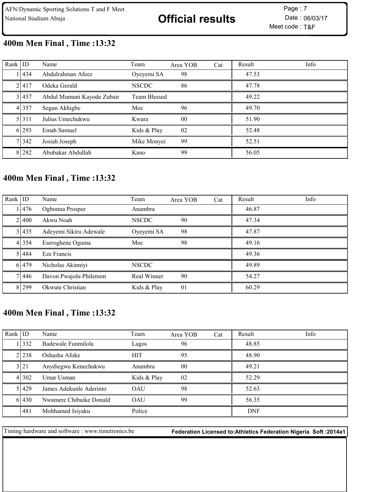# 400m Men Final , Time :13:32

| Rank $ $ ID |       | Name                       | Team         | Area YOB        | Cat | Result | Info |
|-------------|-------|----------------------------|--------------|-----------------|-----|--------|------|
|             | 11434 | Abdulrahman Afeez          | Oyeyemi SA   | 98              |     | 47.53  |      |
|             | 21417 | Odeka Gerald               | <b>NSCDC</b> | 86              |     | 47.78  |      |
|             | 31457 | Abdul Mumuni Kayode Zubair | Team Blessed |                 |     | 49.22  |      |
|             | 4 357 | Segun Akhigbe              | Moc          | 96              |     | 49.70  |      |
|             | 5.311 | Julius Umechukwu           | Kwara        | 00 <sup>°</sup> |     | 51.90  |      |
|             | 6 293 | Emah Samuel                | Kids & Play  | 02              |     | 52.48  |      |
|             | 7 342 | Josiah Joseph              | Mike Monyei  | 99              |     | 52.51  |      |
|             | 8.282 | Abubakar Abdullah          | Kano         | 99              |     | 56.05  |      |

## 400m Men Final , Time :13:32

| Rank ID |       | Name                   | Team         | Area YOB | Cat | Result | Info |
|---------|-------|------------------------|--------------|----------|-----|--------|------|
|         | 1476  | Ogbonna Prosper        | Anambra      |          |     | 46.87  |      |
|         | 21400 | Akwu Noah              | <b>NSCDC</b> | 90       |     | 47.34  |      |
|         | 3 435 | Adeyemi Sikiru Adewale | Oyeyemi SA   | 98       |     | 47.87  |      |
|         | 4 354 | Eseroghene Oguma       | Moc          | 98       |     | 49.16  |      |
|         | 5 484 | Eze Francis            |              |          |     | 49.36  |      |
|         | 6 479 | Nicholas Akinniyi      | <b>NSCDC</b> |          |     | 49.89  |      |
|         | 71446 | Davon Pwajolu Philemon | Real Winner  | 90       |     | 54.27  |      |
|         | 8.299 | Okwute Christian       | Kids & Play  | 01       |     | 60.29  |      |

# 400m Men Final , Time :13:32

| Rank ID |         | Name                    | Team        | Area YOB | Cat | Result     | Info |
|---------|---------|-------------------------|-------------|----------|-----|------------|------|
|         | 1332    | Badewale Funmilola      | Lagos       | 96       |     | 48.85      |      |
|         | 2.238   | Oshasha Afoke           | HIT         | 95       |     | 48.90      |      |
|         | 3 21    | Anydiegwu Kenechukwu    | Anambra     | $00\,$   |     | 49.21      |      |
|         | 4 3 0 2 | Umar Usman              | Kids & Play | 02       |     | 52.29      |      |
|         | 51429   | James Adekunle Aderinto | <b>OAU</b>  | 98       |     | 52.63      |      |
|         | 61430   | Nwamere Chibuike Donald | <b>OAU</b>  | 99       |     | 56.35      |      |
|         | 481     | Mohhamed Isiyaku        | Police      |          |     | <b>DNF</b> |      |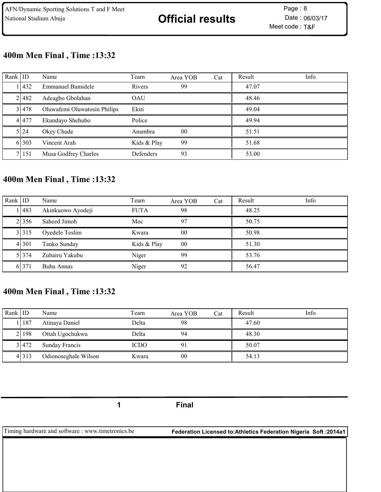# 400m Men Final , Time :13:32

| Rank ID |          | Name                         | Team             | Area YOB | Cat | Result | Info |
|---------|----------|------------------------------|------------------|----------|-----|--------|------|
|         | 1432     | <b>Emmanuel Bamidele</b>     | Rivers           | 99       |     | 47.07  |      |
|         | 21482    | Adeagbo Gbolahan             | OAU              |          |     | 48.46  |      |
|         | 31478    | Oluwafemi Oluwatosin Philips | Ekiti            |          |     | 49.04  |      |
|         | 4 477    | Ekundayo Shehubo             | Police           |          |     | 49.94  |      |
|         | 5 24     | Okey Chude                   | Anambra          | $00\,$   |     | 51.51  |      |
|         | 6 303    | Vincent Arah                 | Kids & Play      | 99       |     | 51.68  |      |
|         | 7   15 1 | Musa Godfrey Charles         | <b>Defenders</b> | 93       |     | 53.00  |      |

# 400m Men Final , Time :13:32

| Rank $ $ ID |         | Name              | Team        | Area YOB       | Cat | Result | Info |
|-------------|---------|-------------------|-------------|----------------|-----|--------|------|
|             | 1483    | Akinkuowo Ayodeji | <b>FUTA</b> | 98             |     | 48.25  |      |
|             | 2.356   | Saheed Jimoh      | Moc         | 97             |     | 50.75  |      |
|             | 3 315   | Oyedele Teslim    | Kwara       | 0 <sub>0</sub> |     | 50.98  |      |
|             | 4 3 0 1 | Tanko Sunday      | Kids & Play | 00             |     | 51.30  |      |
|             | 51374   | Zubairu Yakubu    | Niger       | 99             |     | 53.76  |      |
|             | 6.371   | Buba Annas        | Niger       | 92             |     | 56.47  |      |

# 400m Men Final , Time :13:32

| Rank $ $ ID |         | Name                 | Team        | Area YOB | Cat | Result | Info |
|-------------|---------|----------------------|-------------|----------|-----|--------|------|
|             | 187     | Atinaya Daniel       | Delta       | 98       |     | 47.60  |      |
|             | 2   198 | Ottah Ugochukwu      | Delta       | 94       |     | 48.30  |      |
|             | 31472   | Sunday Francis       | <b>ICDO</b> |          |     | 50.07  |      |
|             | 4 313   | Odionoseghale Wilson | Kwara       | 00       |     | 54.13  |      |

1 Final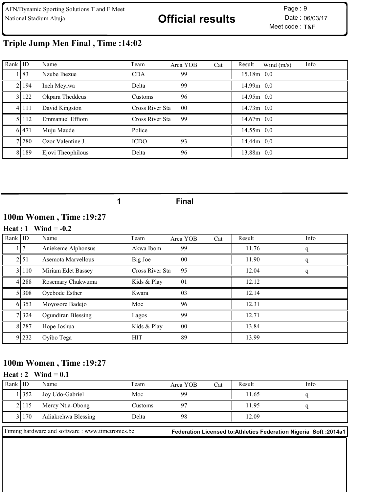# Triple Jump Men Final , Time :14:02

| Rank $ $ ID |           | Name                   | Team            | Area YOB | Cat | Result       | Wind $(m/s)$ | Info |
|-------------|-----------|------------------------|-----------------|----------|-----|--------------|--------------|------|
|             | 1 8 3     | Nzube Ihezue           | <b>CDA</b>      | 99       |     | $15.18m$ 0.0 |              |      |
|             | 2   194   | Ineh Meyiwa            | Delta           | 99       |     | $14.99m$ 0.0 |              |      |
|             | 3 122     | Okpara Theddeus        | Customs         | 96       |     | $14.95m$ 0.0 |              |      |
|             | 4 1 1 1 1 | David Kingston         | Cross River Sta | 00       |     | $14.73m$ 0.0 |              |      |
|             | 51112     | <b>Emmanuel Effiom</b> | Cross River Sta | 99       |     | $14.67m$ 0.0 |              |      |
|             | 6.471     | Muju Maude             | Police          |          |     | $14.55m$ 0.0 |              |      |
|             | 71280     | Ozor Valentine J.      | <b>ICDO</b>     | 93       |     | $14.44m$ 0.0 |              |      |
|             | 8 189     | Ejovi Theophilous      | Delta           | 96       |     | 13.88m 0.0   |              |      |

1 Final

## 100m Women , Time :19:27

#### Heat :  $1$  Wind = -0.2

| Rank   ID |         | Name               | Team            | Area YOB | Cat | Result | Info |
|-----------|---------|--------------------|-----------------|----------|-----|--------|------|
|           |         | Aniekeme Alphonsus | Akwa Ibom       | 99       |     | 11.76  |      |
|           | 2151    | Asemota Marvellous | Big Joe         | $00\,$   |     | 11.90  | q    |
|           | 3 110   | Miriam Edet Bassey | Cross River Sta | 95       |     | 12.04  | q    |
|           | 4 288   | Rosemary Chukwuma  | Kids & Play     | 01       |     | 12.12  |      |
|           | 51308   | Oyebode Esther     | Kwara           | 03       |     | 12.14  |      |
|           | 6 353   | Moyosore Badejo    | Moc             | 96       |     | 12.31  |      |
|           | 7 3 2 4 | Ogundiran Blessing | Lagos           | 99       |     | 12.71  |      |
|           | 8 287   | Hope Joshua        | Kids & Play     | $00\,$   |     | 13.84  |      |
|           | 9 232   | Oyibo Tega         | <b>HIT</b>      | 89       |     | 13.99  |      |

## 100m Women , Time :19:27

#### Heat : 2 Wind =  $0.1$

| Rank IID |       | Name                | Team    | Area YOB | Cat | Result | Info |
|----------|-------|---------------------|---------|----------|-----|--------|------|
|          | 1352  | Joy Udo-Gabriel     | Moc     | 99       |     | 11.65  |      |
|          | 21115 | Mercy Ntia-Obong    | Customs |          |     | 11.95  |      |
|          | 31170 | Adiakrehwa Blessing | Delta   | 98       |     | 12.09  |      |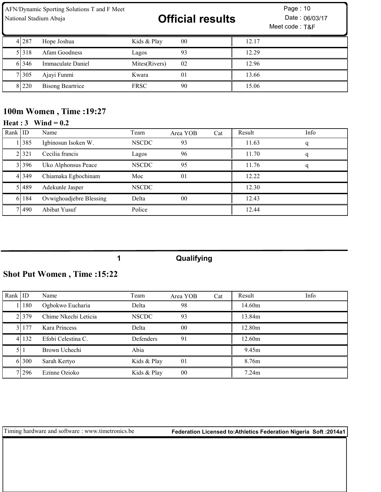AFN/Dynamic Sporting Solutions T and F Meet

# National Stadium Abuja **Example 2018 Official results** Date : 06/03/17

Meet code : T&F Page: 10

| 4 287   | Hope Joshua             | Kids & Play   | 00 | 12.17 |
|---------|-------------------------|---------------|----|-------|
| 5 3 1 8 | Afam Goodness           | Lagos         | 93 | 12.29 |
| 61346   | Immaculate Daniel       | Mites(Rivers) | 02 | 12.96 |
| 7 305   | Ajayi Funmi             | Kwara         | 01 | 13.66 |
| 8 220   | <b>Bisong Beartrice</b> | <b>FRSC</b>   | 90 | 15.06 |

## 100m Women , Time :19:27

## Heat : Wind = 0.2

| Rank ID |         | Name                    | Team         | Area YOB       | Cat | Result | Info |
|---------|---------|-------------------------|--------------|----------------|-----|--------|------|
|         | 1385    | Igbinosun Isoken W.     | <b>NSCDC</b> | 93             |     | 11.63  |      |
|         | 2.321   | Cecilia francis         | Lagos        | 96             |     | 11.70  |      |
|         | 31396   | Uko Alphonsus Peace     | <b>NSCDC</b> | 95             |     | 11.76  |      |
|         | 4 3 4 9 | Chiamaka Egbochinam     | Moc          | 01             |     | 12.22  |      |
|         | 51489   | Adekunle Jasper         | <b>NSCDC</b> |                |     | 12.30  |      |
|         | 6 184   | Ovwighoadjebre Blessing | Delta        | 0 <sup>0</sup> |     | 12.43  |      |
|         | 71490   | Abibat Yusuf            | Police       |                |     | 12.44  |      |

#### Qualifying

# Shot Put Women , Time :15:22

| Rank $ $ ID |          | Name                 | Team             | Area YOB       | Cat | Result | Info |
|-------------|----------|----------------------|------------------|----------------|-----|--------|------|
|             | 180      | Ogbokwo Eucharia     | Delta            | 98             |     | 14.60m |      |
|             | 21379    | Chime Nkechi Leticia | <b>NSCDC</b>     | 93             |     | 13.84m |      |
|             | 31177    | Kara Princess        | Delta            | 0 <sub>0</sub> |     | 12.80m |      |
|             | 4   132  | Efobi Celestina C.   | <b>Defenders</b> | 91             |     | 12.60m |      |
|             |          | Brown Uchechi        | Abia             |                |     | 9.45m  |      |
|             | 6.300    | Sarah Kertyo         | Kids & Play      | 01             |     | 8.76m  |      |
|             | 7   29 6 | Ezinne Ozioko        | Kids & Play      | 00             |     | 7.24m  |      |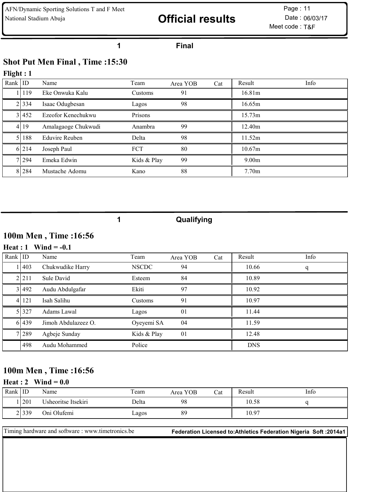# National Stadium Abuja **Example 2018 Official results** Date : 06/03/17

Meet code : T&F Page: 11

#### 1 Final

# Shot Put Men Final , Time :15:30

# Flight : 1

| Rank $ $ ID |         | Name                  | Team        | Area YOB | Cat | Result             | Info |
|-------------|---------|-----------------------|-------------|----------|-----|--------------------|------|
|             | 119     | Eke Onwuka Kalu       | Customs     | 91       |     | 16.81m             |      |
|             | 2 3 3 4 | Isaac Odugbesan       | Lagos       | 98       |     | 16.65m             |      |
|             | 3 452   | Ezeofor Kenechukwu    | Prisons     |          |     | 15.73m             |      |
|             | 4 19    | Amalagaoge Chukwudi   | Anambra     | 99       |     | 12.40 <sub>m</sub> |      |
|             | 188     | <b>Eduvire Reuben</b> | Delta       | 98       |     | 11.52m             |      |
|             | 6 214   | Joseph Paul           | <b>FCT</b>  | 80       |     | 10.67m             |      |
|             | 71294   | Emeka Edwin           | Kids & Play | 99       |     | 9.00 <sub>m</sub>  |      |
|             | 8 284   | Mustache Adomu        | Kano        | 88       |     | 7.70 <sub>m</sub>  |      |

1 Qualifying

## 100m Men , Time :16:56

#### Heat :  $1$  Wind = -0.1

| Rank $ $ ID |          | Name                | Team         | Area YOB | Cat | Result     | Info |
|-------------|----------|---------------------|--------------|----------|-----|------------|------|
|             | 1403     | Chukwudike Harry    | <b>NSCDC</b> | 94       |     | 10.66      | q    |
|             | 2.211    | Sule David          | Esteem       | 84       |     | 10.89      |      |
|             | 3 492    | Audu Abdulgafar     | Ekiti        | 97       |     | 10.92      |      |
|             | 4   12 1 | Isah Salihu         | Customs      | 91       |     | 10.97      |      |
|             | 5 3 2 7  | Adams Lawal         | Lagos        | 01       |     | 11.44      |      |
|             | 6 439    | Jimoh Abdulazeez O. | Oyeyemi SA   | 04       |     | 11.59      |      |
|             | 7 289    | Agbeje Sunday       | Kids & Play  | 01       |     | 12.48      |      |
|             | 498      | Audu Mohammed       | Police       |          |     | <b>DNS</b> |      |

# 100m Men , Time :16:56

#### Heat : 2 Wind =  $0.0$

| Rank | ID    | Name                | Team  | Area YOB | Cat | Result | Info |
|------|-------|---------------------|-------|----------|-----|--------|------|
|      | l 201 | Usheoritse Itsekiri | Delta | 98       |     | 10.58  |      |
| .    | 2339  | Oni Olufemi         | Lagos | 89       |     | 10.97  |      |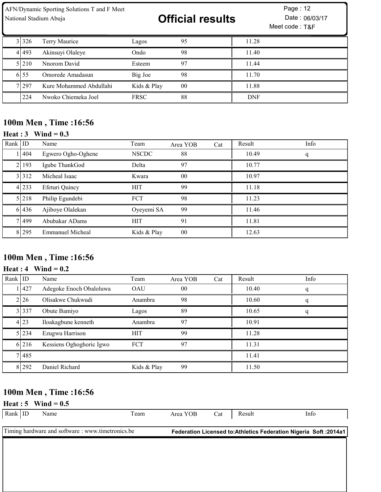| AFN/Dynamic Sporting Solutions T and F Meet<br>National Stadium Abuja |           |                         |             | <b>Official results</b> |            | Page: 12<br>Date: 06/03/17<br>Meet code: T&F |  |  |
|-----------------------------------------------------------------------|-----------|-------------------------|-------------|-------------------------|------------|----------------------------------------------|--|--|
|                                                                       | 3 3 3 2 6 | Terry Maurice           | Lagos       | 95                      | 11.28      |                                              |  |  |
|                                                                       | 41493     | Akinsuyi Olaleye        | Ondo        | 98                      | 11.40      |                                              |  |  |
|                                                                       | 51210     | Nnorom David            | Esteem      | 97                      | 11.44      |                                              |  |  |
|                                                                       | 6.55      | Omorede Amadasun        | Big Joe     | 98                      | 11.70      |                                              |  |  |
|                                                                       | 7 297     | Kure Mohammed Abdullahi | Kids & Play | 0 <sub>0</sub>          | 11.88      |                                              |  |  |
|                                                                       | 224       | Nwoko Chiemeka Joel     | <b>FRSC</b> | 88                      | <b>DNF</b> |                                              |  |  |

# 100m Men , Time :16:56

# Heat :  $3$  Wind = 0.3

| Rank $ $ ID |         | Name                    | Team         | Area YOB | Cat | Result | Info |
|-------------|---------|-------------------------|--------------|----------|-----|--------|------|
|             | l I 404 | Egwero Ogho-Oghene      | <b>NSCDC</b> | 88       |     | 10.49  | q    |
|             | 2 193   | Igube ThankGod          | Delta        | 97       |     | 10.77  |      |
|             | 3 312   | Micheal Isaac           | Kwara        | $00\,$   |     | 10.97  |      |
|             | 4 233   | Efeturi Quincy          | <b>HIT</b>   | 99       |     | 11.18  |      |
|             | 5 2 1 8 | Philip Egundebi         | <b>FCT</b>   | 98       |     | 11.23  |      |
|             | 6 436   | Ajiboye Olalekan        | Oyeyemi SA   | 99       |     | 11.46  |      |
|             | 7 499   | Abubakar ADams          | <b>HIT</b>   | 91       |     | 11.81  |      |
|             | 8 295   | <b>Emmanuel Micheal</b> | Kids & Play  | $00\,$   |     | 12.63  |      |

# 100m Men , Time :16:56

## Heat :  $4$  Wind = 0.2

| Rank $ $ ID |       | Name                     | Team        | Area YOB       | Cat | Result | Info |
|-------------|-------|--------------------------|-------------|----------------|-----|--------|------|
|             | 11427 | Adegoke Enoch Obaloluwa  | <b>OAU</b>  | 0 <sup>0</sup> |     | 10.40  |      |
|             | 2126  | Olisakwe Chukwudi        | Anambra     | 98             |     | 10.60  |      |
|             | 3 337 | Obute Bamiyo             | Lagos       | 89             |     | 10.65  |      |
|             | 4 23  | Iloakagbune kenneth      | Anambra     | 97             |     | 10.91  |      |
|             | 5 234 | Ezugwu Harrison          | <b>HIT</b>  | 99             |     | 11.28  |      |
|             | 6 216 | Kessiens Oghoghoric Igwo | FCT         | 97             |     | 11.31  |      |
|             | 7485  |                          |             |                |     | 11.41  |      |
|             | 8 292 | Daniel Richard           | Kids & Play | 99             |     | 11.50  |      |

# 100m Men , Time :16:56

Heat : 5 Wind =  $0.5$ 

| Rank   ID                                         |  | Name | l'eam | Area YOB | Cat | Result                                                             | Info |
|---------------------------------------------------|--|------|-------|----------|-----|--------------------------------------------------------------------|------|
|                                                   |  |      |       |          |     |                                                                    |      |
| Timing hardware and software : www.timetronics.be |  |      |       |          |     | Federation Licensed to: Athletics Federation Nigeria Soft : 2014a1 |      |
|                                                   |  |      |       |          |     |                                                                    |      |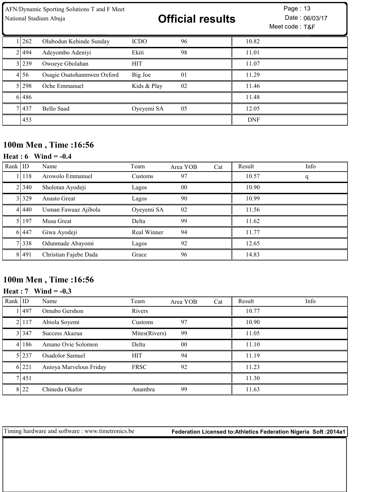| AFN/Dynamic Sporting Solutions T and F Meet<br>National Stadium Abuja |        |                            |             | <b>Official results</b> |            | Page: 13<br>Date: 06/03/17<br>Meet code: T&F |
|-----------------------------------------------------------------------|--------|----------------------------|-------------|-------------------------|------------|----------------------------------------------|
|                                                                       | 1262   | Olubodun Kehinde Sunday    | <b>ICDO</b> | 96                      | 10.82      |                                              |
|                                                                       | 21494  | Adeyombo Adeniyi           | Ekiti       | 98                      | 11.01      |                                              |
|                                                                       | 3 239  | Owoeye Gbolahan            | <b>HIT</b>  |                         | 11.07      |                                              |
|                                                                       | 4156   | Osagie Osatohanmwen Oxford | Big Joe     | 0 <sub>1</sub>          | 11.29      |                                              |
|                                                                       | 5 298  | Oche Emmanuel              | Kids & Play | 02                      | 11.46      |                                              |
|                                                                       | 6 48 6 |                            |             |                         | 11.48      |                                              |
|                                                                       | 7 437  | Bello Saad                 | Oyeyemi SA  | 05                      | 12.05      |                                              |
|                                                                       | 453    |                            |             |                         | <b>DNF</b> |                                              |

# 100m Men , Time :16:56

### **Heat : 6** Wind =  $-0.4$

| Rank   ID |           | Name                  | Team        | Area YOB       | Cat | Result | Info |
|-----------|-----------|-----------------------|-------------|----------------|-----|--------|------|
|           | 11118     | Arowolo Emmanuel      | Customs     | 97             |     | 10.57  | q    |
|           | 2 340     | Sholotan Ayodeji      | Lagos       | 0 <sup>0</sup> |     | 10.90  |      |
|           | 3 329     | Anasto Great          | Lagos       | 90             |     | 10.99  |      |
|           | 4 4 4 4 0 | Usman Fawaaz Ajibola  | Oyeyemi SA  | 02             |     | 11.56  |      |
|           | 5 197     | Musa Great            | Delta       | 99             |     | 11.62  |      |
|           | 6 447     | Giwa Ayodeji          | Real Winner | 94             |     | 11.77  |      |
|           | 7 3 3 8   | Odunmade Abayomi      | Lagos       | 92             |     | 12.65  |      |
|           | 8 4 4 9 1 | Christian Fajebe Dada | Grace       | 96             |     | 14.83  |      |

# 100m Men , Time :16:56

#### Heat : Wind = -0.3

| Rank $ $ ID |             | Name                    | Team          | Area YOB       | Cat | Result | Info |
|-------------|-------------|-------------------------|---------------|----------------|-----|--------|------|
|             | <b>1497</b> | Omubo Gershon           | Rivers        |                |     | 10.77  |      |
|             | 2 117       | Abiola Soyemi           | Customs       | 97             |     | 10.90  |      |
|             | 31347       | Success Akazua          | Mites(Rivers) | 99             |     | 11.05  |      |
|             | 4186        | Amano Ovie Solomon      | Delta         | 0 <sup>0</sup> |     | 11.10  |      |
|             | 5 237       | Osadolor Samuel         | <b>HIT</b>    | 94             |     | 11.19  |      |
|             | 6 221       | Anioya Marvelous Friday | <b>FRSC</b>   | 92             |     | 11.23  |      |
|             | 7 451       |                         |               |                |     | 11.30  |      |
|             | 8 22        | Chinedu Okafor          | Anambra       | 99             |     | 11.63  |      |

Timing hardware and software : www.timetronics.be Federation Licensed to:Athletics Federation Nigeria Soft :2014a1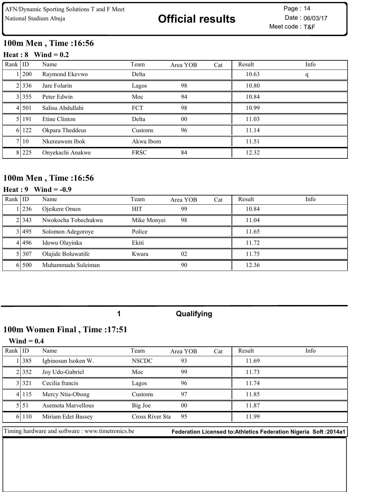# 100m Men , Time :16:56

#### Heat :  $8$  Wind = 0.2

| Rank $ $ ID |         | Name             | Team        | Area YOB        | Cat | Result | Info |
|-------------|---------|------------------|-------------|-----------------|-----|--------|------|
|             | 1   200 | Raymond Ekevwo   | Delta       |                 |     | 10.63  | q    |
|             | 2 336   | Jare Folarin     | Lagos       | 98              |     | 10.80  |      |
|             | 3 355   | Peter Edwin      | Moc         | 94              |     | 10.84  |      |
|             | 41501   | Salisu Abdullahi | <b>FCT</b>  | 98              |     | 10.99  |      |
|             | 51191   | Etine Clinton    | Delta       | 00 <sup>°</sup> |     | 11.03  |      |
|             | 6 122   | Okpara Theddeus  | Customs     | 96              |     | 11.14  |      |
|             | 7110    | Nkereuwem Ibok   | Akwa Ibom   |                 |     | 11.51  |      |
|             | 8 225   | Onyekachi Anakwe | <b>FRSC</b> | 84              |     | 12.32  |      |

## 100m Men , Time :16:56

### **Heat** : 9 Wind =  $-0.9$

| Rank $ $ ID |       | Name                | Team        | Area YOB | Cat | Result | Info |
|-------------|-------|---------------------|-------------|----------|-----|--------|------|
|             | 236   | Ojeikere Omon       | <b>HIT</b>  | 99       |     | 10.84  |      |
|             | 21343 | Nwokocha Tobechukwu | Mike Monyei | 98       |     | 11.04  |      |
|             | 3 495 | Solomon Adegoroye   | Police      |          |     | 11.65  |      |
|             | 41496 | Idowu Olayinka      | Ekiti       |          |     | 11.72  |      |
|             | 51307 | Olajide Boluwatife  | Kwara       | 02       |     | 11.75  |      |
|             | 6 500 | Muhammadu Suleiman  |             | 90       |     | 12.36  |      |

1 Qualifying

# 100m Women Final , Time :17:51

#### $Wind = 0.4$

| Rank $ $ ID |           | Name                | Team            | Area YOB | Cat | Result | Info |
|-------------|-----------|---------------------|-----------------|----------|-----|--------|------|
|             | 1385      | Igbinosun Isoken W. | <b>NSCDC</b>    | 93       |     | 11.69  |      |
|             | 2 352     | Joy Udo-Gabriel     | Moc             | 99       |     | 11.73  |      |
|             | 31321     | Cecilia francis     | Lagos           | 96       |     | 11.74  |      |
|             | 4 1 1 1 5 | Mercy Ntia-Obong    | Customs         | 97       |     | 11.85  |      |
|             | 5151      | Asemota Marvellous  | Big Joe         | 00       |     | 11.87  |      |
|             | 61110     | Miriam Edet Bassey  | Cross River Sta | 95       |     | 11.99  |      |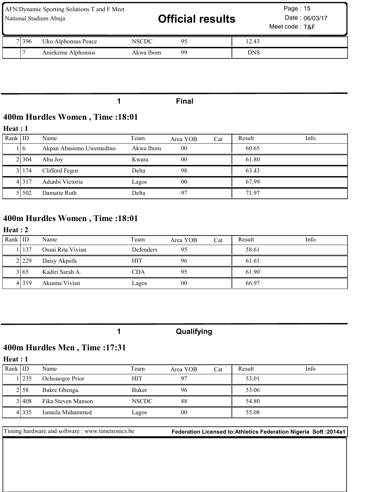| AFN/Dynamic Sporting Solutions T and F Meet<br>National Stadium Abuja |           | <b>Official results</b> |            | Page: 15<br>Date: 06/03/17<br>Meet code: T&F |  |
|-----------------------------------------------------------------------|-----------|-------------------------|------------|----------------------------------------------|--|
| 71396<br>Uko Alphonsus Peace                                          | NSCDC     | 95                      | 12.43      |                                              |  |
| Aniekeme Alphonsus                                                    | Akwa Ibom | 99                      | <b>DNS</b> |                                              |  |

#### 1 Final

# 400m Hurdles Women , Time :18:01

#### Heat : 1

| Rank $ $ ID |         | Name                     | Team      | Area YOB       | Cat | Result | Info |
|-------------|---------|--------------------------|-----------|----------------|-----|--------|------|
|             | LI 6    | Akpan Abasiono Uwemedino | Akwa Ibom | 0 <sup>0</sup> |     | 60.65  |      |
|             | 21304   | Abu Joy                  | Kwara     | 0 <sub>0</sub> |     | 61.80  |      |
|             | 31174   | Clifford Fegor           | Delta     | 98             |     | 63.43  |      |
|             | 4 3 1 7 | Adunbi Victoria          | Lagos     | 00             |     | 67.99  |      |
|             | 5 5 0 2 | Damatie Ruth             | Delta     | 97             |     | 71.97  |      |

# 400m Hurdles Women , Time :18:01

## Heat : 2

| Rank ID |         | Name              | Team             | Area YOB | Cat | Result | Info |
|---------|---------|-------------------|------------------|----------|-----|--------|------|
|         | . 137   | Ossai Rita Vivian | <b>Defenders</b> | 95       |     | 58.61  |      |
|         | 2.229   | Daisy Akpofa      | <b>HIT</b>       | 96       |     | 61.61  |      |
|         | 3165    | Kadiri Sarah A.   | CDA              |          |     | 61.90  |      |
|         | 4 3 1 9 | Akunna Vivian     | Lagos            | 00       |     | 66.97  |      |

|  | Qualifying |
|--|------------|
|--|------------|

# 400m Hurdles Men , Time :17:31

### Heat : 1

| Rank IID |        | Name               | Team         | Area YOB       | Cat | Result | Info |
|----------|--------|--------------------|--------------|----------------|-----|--------|------|
|          | 235    | Ochonogor Prior    | <b>HIT</b>   | 07             |     | 53.01  |      |
|          | 2158   | Bakre Gbenga.      | Buker        | 96             |     | 53.06  |      |
|          | 31408  | Fika Steven Manson | <b>NSCDC</b> | 88             |     | 54.80  |      |
|          | 4I 335 | Ismaila Muhammed   | Lagos        | 0 <sup>0</sup> |     | 55.08  |      |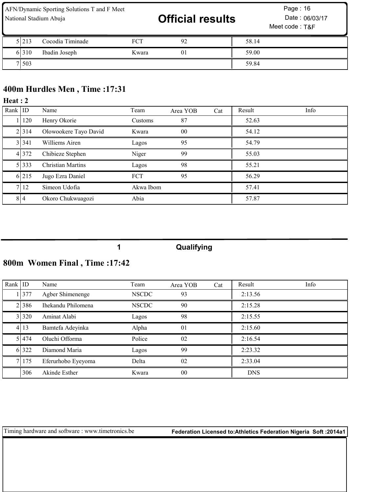| AFN/Dynamic Sporting Solutions T and F Meet<br>National Stadium Abuja |       |                  |            | <b>Official results</b> |       | Page: 16<br>Date: 06/03/17<br>Meet code: T&F |  |  |
|-----------------------------------------------------------------------|-------|------------------|------------|-------------------------|-------|----------------------------------------------|--|--|
|                                                                       | 5.213 | Cocodia Timinade | <b>FCT</b> | 92                      | 58.14 |                                              |  |  |
|                                                                       | 6.310 | Ibadin Joseph    | Kwara      | 01                      | 59.00 |                                              |  |  |
|                                                                       | 7 503 |                  |            |                         | 59.84 |                                              |  |  |

# 400m Hurdles Men , Time :17:31

#### Heat : 2

| Rank ID |           | Name                     | Team       | Area YOB       | Cat | Result | Info |
|---------|-----------|--------------------------|------------|----------------|-----|--------|------|
|         | 120       | Henry Okorie             | Customs    | 87             |     | 52.63  |      |
|         | 2 314     | Olowookere Tayo David    | Kwara      | 0 <sup>0</sup> |     | 54.12  |      |
|         | 31341     | Williems Airen           | Lagos      | 95             |     | 54.79  |      |
|         | 4 3 7 2   | Chibieze Stephen         | Niger      | 99             |     | 55.03  |      |
|         | 5 3 3 3 3 | <b>Christian Martins</b> | Lagos      | 98             |     | 55.21  |      |
|         | 6 215     | Jugo Ezra Daniel         | <b>FCT</b> | 95             |     | 56.29  |      |
|         | 7   12    | Simeon Udofia            | Akwa Ibom  |                |     | 57.41  |      |
|         | 814       | Okoro Chukwuagozi        | Abia       |                |     | 57.87  |      |

# 1 Qualifying

# 800m Women Final , Time :17:42

| Rank $ $ ID |         | Name               | Team         | Area YOB        | Cat | Result     | Info |
|-------------|---------|--------------------|--------------|-----------------|-----|------------|------|
|             | 11377   | Agber Shimenenge   | <b>NSCDC</b> | 93              |     | 2:13.56    |      |
|             | 21386   | Ihekandu Philomena | <b>NSCDC</b> | 90              |     | 2:15.28    |      |
|             | 31320   | Aminat Alabi       | Lagos        | 98              |     | 2:15.55    |      |
|             | 4   13  | Bamtefa Adeyinka   | Alpha        | 01              |     | 2:15.60    |      |
|             | 5 4 7 4 | Oluchi Offorma     | Police       | 02              |     | 2:16.54    |      |
|             | 6 322   | Diamond Maria      | Lagos        | 99              |     | 2:23.32    |      |
|             | 7   175 | Eferurhobo Eyeyoma | Delta        | 02              |     | 2:33.04    |      |
|             | 306     | Akinde Esther      | Kwara        | 00 <sup>°</sup> |     | <b>DNS</b> |      |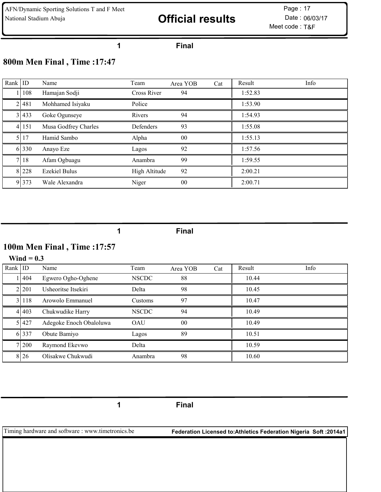# National Stadium Abuja **Example 2018 Official results** Date : 06/03/17

Meet code : T&F Page: 17

#### Final

## 800m Men Final , Time :17:47

| Rank $ $ ID |       | Name                 | Team          | Area YOB | Cat | Result  | Info |
|-------------|-------|----------------------|---------------|----------|-----|---------|------|
|             | 108   | Hamajan Sodji        | Cross River   | 94       |     | 1:52.83 |      |
|             | 2 481 | Mohhamed Isiyaku     | Police        |          |     | 1:53.90 |      |
|             | 3 433 | Goke Ogunseye        | Rivers        | 94       |     | 1:54.93 |      |
|             | 4 151 | Musa Godfrey Charles | Defenders     | 93       |     | 1:55.08 |      |
|             | 17    | Hamid Sambo          | Alpha         | $00\,$   |     | 1:55.13 |      |
|             | 6 330 | Anayo Eze            | Lagos         | 92       |     | 1:57.56 |      |
|             | 7 18  | Afam Ogbuagu         | Anambra       | 99       |     | 1:59.55 |      |
|             | 8 228 | <b>Ezekiel Bulus</b> | High Altitude | 92       |     | 2:00.21 |      |
|             | 9 373 | Wale Alexandra       | Niger         | $00\,$   |     | 2:00.71 |      |

Final

# 100m Men Final , Time :17:57

#### Wind  $= 0.3$

| Rank $ $ ID |       | Name                    | Team         | Area YOB       | Cat | Result | Info |
|-------------|-------|-------------------------|--------------|----------------|-----|--------|------|
|             | 1404  | Egwero Ogho-Oghene      | <b>NSCDC</b> | 88             |     | 10.44  |      |
|             | 21201 | Usheoritse Itsekiri     | Delta        | 98             |     | 10.45  |      |
|             | 31118 | Arowolo Emmanuel        | Customs      | 97             |     | 10.47  |      |
|             | 41403 | Chukwudike Harry        | <b>NSCDC</b> | 94             |     | 10.49  |      |
|             | 51427 | Adegoke Enoch Obaloluwa | <b>OAU</b>   | 0 <sub>0</sub> |     | 10.49  |      |
|             | 6 337 | Obute Bamiyo            | Lagos        | 89             |     | 10.51  |      |
|             | 7 200 | Raymond Ekevwo          | Delta        |                |     | 10.59  |      |
|             | 8 26  | Olisakwe Chukwudi       | Anambra      | 98             |     | 10.60  |      |

Final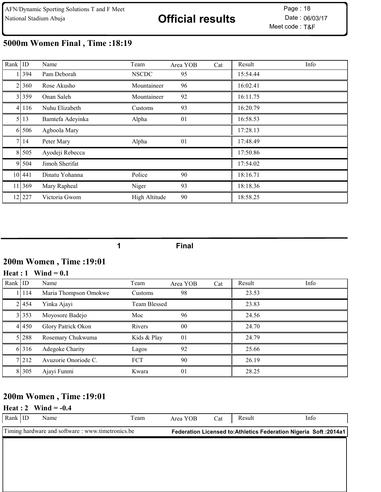# 5000m Women Final , Time :18:19

| Rank $ $ ID    |         | Name             | Team          | Area YOB | Cat | Result   | Info |
|----------------|---------|------------------|---------------|----------|-----|----------|------|
|                | 394     | Pam Deborah      | <b>NSCDC</b>  | 95       |     | 15:54.44 |      |
| $\overline{2}$ | 360     | Rose Akusho      | Mountaineer   | 96       |     | 16:02.41 |      |
|                | 3 359   | Onan Saleh       | Mountaineer   | 92       |     | 16:11.75 |      |
|                | 4 116   | Nuhu Elizabeth   | Customs       | 93       |     | 16:20.79 |      |
|                | 5 13    | Bamtefa Adeyinka | Alpha         | 01       |     | 16:58.53 |      |
|                | 6 506   | Agboola Mary     |               |          |     | 17:28.13 |      |
| 7 <sub>l</sub> | 14      | Peter Mary       | Alpha         | 01       |     | 17:48.49 |      |
|                | 8 5 0 5 | Ayodeji Rebecca  |               |          |     | 17:50.86 |      |
|                | 9 504   | Jimoh Sherifat   |               |          |     | 17:54.02 |      |
|                | 10 441  | Dinatu Yohanna   | Police        | 90       |     | 18:16.71 |      |
|                | 11 369  | Mary Rapheal     | Niger         | 93       |     | 18:18.36 |      |
|                | 12 227  | Victoria Gwom    | High Altitude | 90       |     | 18:58.25 |      |

1 Final

## 200m Women , Time :19:01

#### Heat :  $1$  Wind = 0.1

| Rank $ $ ID |         | Name                  | Team         | Area YOB | Cat | Result | Info |
|-------------|---------|-----------------------|--------------|----------|-----|--------|------|
|             | 114     | Maria Thompson Omokwe | Customs      | 98       |     | 23.53  |      |
|             | 2 4 5 4 | Yinka Ajayi           | Team Blessed |          |     | 23.83  |      |
|             | 3 353   | Moyosore Badejo       | Moc          | 96       |     | 24.56  |      |
|             | 4 450   | Glory Patrick Okon    | Rivers       | $00\,$   |     | 24.70  |      |
|             | 5 288   | Rosemary Chukwuma     | Kids & Play  | 01       |     | 24.79  |      |
|             | 6 316   | Adegoke Charity       | Lagos        | 92       |     | 25.66  |      |
|             | 7 212   | Avuzorie Onoriode C.  | <b>FCT</b>   | 90       |     | 26.19  |      |
|             | 8 3 0 5 | Ajayi Funmi           | Kwara        | 01       |     | 28.25  |      |

## 200m Women , Time :19:01

#### **Heat** : 2 Wind =  $-0.4$

| Rank   ID | Name | Team                                              | Area YOB | Cat | Result | <b>Info</b>                                                       |
|-----------|------|---------------------------------------------------|----------|-----|--------|-------------------------------------------------------------------|
|           |      | Timing hardware and software : www.timetronics.be |          |     |        | Federation Licensed to: Athletics Federation Nigeria Soft: 2014a1 |
|           |      |                                                   |          |     |        |                                                                   |
|           |      |                                                   |          |     |        |                                                                   |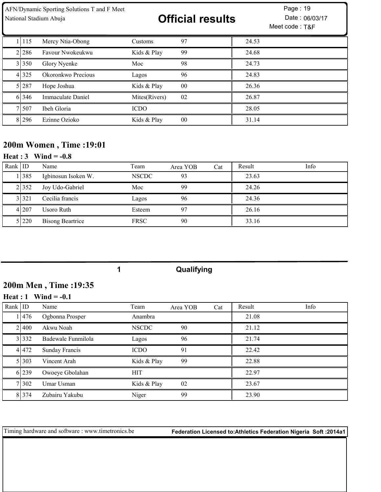| AFN/Dynamic Sporting Solutions T and F Meet<br>National Stadium Abuja |       |                    |               | <b>Official results</b> | Page: 19<br>Date: 06/03/17<br>Meet code: T&F |
|-----------------------------------------------------------------------|-------|--------------------|---------------|-------------------------|----------------------------------------------|
|                                                                       | 1 115 | Mercy Ntia-Obong   | Customs       | 97                      | 24.53                                        |
|                                                                       | 2.286 | Favour Nwokeukwu   | Kids & Play   | 99                      | 24.68                                        |
|                                                                       | 3 350 | Glory Nyenke       | Moc           | 98                      | 24.73                                        |
|                                                                       | 4 325 | Okoronkwo Precious | Lagos         | 96                      | 24.83                                        |
|                                                                       | 5 287 | Hope Joshua        | Kids & Play   | 0 <sub>0</sub>          | 26.36                                        |
|                                                                       | 6 346 | Immaculate Daniel  | Mites(Rivers) | 02                      | 26.87                                        |
|                                                                       | 7 507 | Ibeh Gloria        | <b>ICDO</b>   |                         | 28.05                                        |
|                                                                       | 8.296 | Ezinne Ozioko      | Kids & Play   | $00\,$                  | 31.14                                        |

# 200m Women , Time :19:01

### **Heat** : 3 Wind =  $-0.8$

| Rank $ $ ID |         | Name                    | Team         | Area YOB | Cat | Result | Info |
|-------------|---------|-------------------------|--------------|----------|-----|--------|------|
|             | 1   385 | Igbinosun Isoken W.     | <b>NSCDC</b> | 93       |     | 23.63  |      |
|             | 2 352   | Joy Udo-Gabriel         | Moc          | 99       |     | 24.26  |      |
|             | 3 3 2 1 | Cecilia francis         | Lagos        | 96       |     | 24.36  |      |
|             | 4 207   | Usoro Ruth              | Esteem       |          |     | 26.16  |      |
|             | 51220   | <b>Bisong Beartrice</b> | <b>FRSC</b>  | 90       |     | 33.16  |      |

Qualifying

# 200m Men , Time :19:35

### Heat : Wind = -0.1

| Rank $ $ ID |           | Name               | Team         | Area YOB | Cat | Result | Info |
|-------------|-----------|--------------------|--------------|----------|-----|--------|------|
|             | 11476     | Ogbonna Prosper    | Anambra      |          |     | 21.08  |      |
|             | 21400     | Akwu Noah          | <b>NSCDC</b> | 90       |     | 21.12  |      |
|             | 3 332     | Badewale Funmilola | Lagos        | 96       |     | 21.74  |      |
|             | 4 4 4 7 2 | Sunday Francis     | <b>ICDO</b>  | 91       |     | 22.42  |      |
|             | 51303     | Vincent Arah       | Kids & Play  | 99       |     | 22.88  |      |
|             | 6 239     | Owoeye Gbolahan    | <b>HIT</b>   |          |     | 22.97  |      |
|             | 71302     | Umar Usman         | Kids & Play  | 02       |     | 23.67  |      |
|             | 8 3 7 4   | Zubairu Yakubu     | Niger        | 99       |     | 23.90  |      |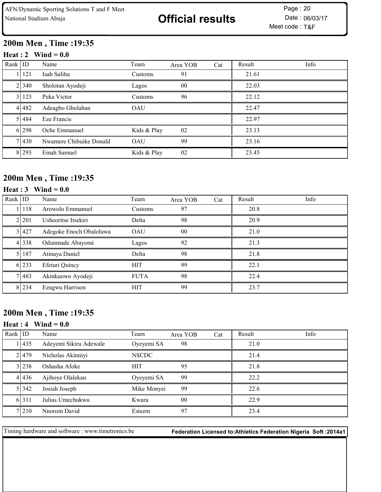# 200m Men , Time :19:35

#### Heat : 2 Wind =  $0.0$

| Rank $ $ ID |             | Name                    | Team           | Area YOB | Cat | Result | Info |
|-------------|-------------|-------------------------|----------------|----------|-----|--------|------|
|             | 121         | Isah Salihu             | Customs        | 91       |     | 21.61  |      |
|             | 2 340       | Sholotan Ayodeji        | Lagos          | 00       |     | 22.03  |      |
|             | 3 123       | Peka Victor             | <b>Customs</b> | 96       |     | 22.12  |      |
|             | 4 4 4 4 3 2 | Adeagbo Gbolahan        | <b>OAU</b>     |          |     | 22.47  |      |
|             | 5 4 8 4     | Eze Francis             |                |          |     | 22.97  |      |
|             | 6 298       | Oche Emmanuel           | Kids & Play    | 02       |     | 23.13  |      |
|             | 71430       | Nwamere Chibuike Donald | OAU            | 99       |     | 23.16  |      |
|             | 8 293       | Emah Samuel             | Kids & Play    | 02       |     | 23.45  |      |

## 200m Men , Time :19:35

## Heat : Wind = 0.0

| Rank $ $ ID |           | Name                    | Team        | Area YOB       | Cat | Result | Info |
|-------------|-----------|-------------------------|-------------|----------------|-----|--------|------|
|             | l I 118   | Arowolo Emmanuel        | Customs     | 97             |     | 20.8   |      |
|             | 2.201     | Usheoritse Itsekiri     | Delta       | 98             |     | 20.9   |      |
|             | 31427     | Adegoke Enoch Obaloluwa | <b>OAU</b>  | 0 <sup>0</sup> |     | 21.0   |      |
|             | 4 3 3 8   | Odunmade Abayomi        | Lagos       | 92             |     | 21.3   |      |
|             | 5   187   | Atinaya Daniel          | Delta       | 98             |     | 21.8   |      |
|             | 6 233     | Efeturi Quincy          | <b>HIT</b>  | 99             |     | 22.1   |      |
|             | 7 483     | Akinkuowo Ayodeji       | <b>FUTA</b> | 98             |     | 22.4   |      |
|             | 8 2 2 3 4 | Ezugwu Harrison         | <b>HIT</b>  | 99             |     | 23.7   |      |

## 200m Men , Time :19:35

#### Heat : Wind =  $0.0$

| Rank $ $ ID |         | Name                   | Team         | Area YOB       | Cat | Result | Info |
|-------------|---------|------------------------|--------------|----------------|-----|--------|------|
|             | 11435   | Adeyemi Sikiru Adewale | Oyeyemi SA   | 98             |     | 21.0   |      |
|             | 21479   | Nicholas Akinniyi      | <b>NSCDC</b> |                |     | 21.4   |      |
|             | 31238   | Oshasha Afoke          | <b>HIT</b>   | 95             |     | 21.8   |      |
|             | 41436   | Ajiboye Olalekan       | Oyeyemi SA   | 99             |     | 22.2   |      |
|             | 5 3 4 2 | Josiah Joseph          | Mike Monyei  | 99             |     | 22.6   |      |
|             | 6.311   | Julius Umechukwu       | Kwara        | 0 <sup>0</sup> |     | 22.9   |      |
|             | 7.210   | Nnorom David           | Esteem       | 97             |     | 23.4   |      |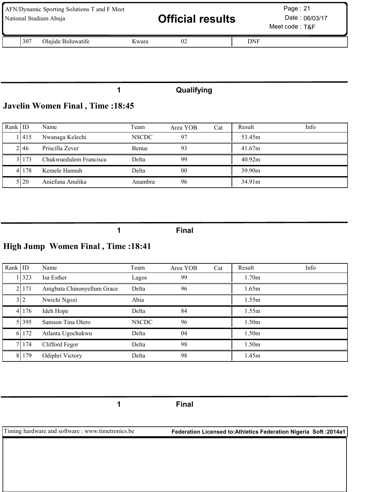| AFN/Dynamic Sporting Solutions T and F Meet<br>National Stadium Abuja |       | <b>Official results</b> |     | Page: $21$<br>Date: 06/03/17<br>Meet code: T&F |
|-----------------------------------------------------------------------|-------|-------------------------|-----|------------------------------------------------|
| 1307<br>Olajide Boluwatife                                            | Kwara | 02                      | DNF |                                                |

# 1 Qualifying

# Javelin Women Final , Time :18:45

| Rank IID |       | Name                   | Team         | Area YOB       | Cat | Result | Info |
|----------|-------|------------------------|--------------|----------------|-----|--------|------|
|          | .1415 | Nwanaga Kelechi        | <b>NSCDC</b> | 97             |     | 53.45m |      |
|          | 2146  | Priscilla Zever        | Benue        | 93             |     | 41.67m |      |
|          | 31173 | Chukwuedulem Francisca | Delta        | 99             |     | 40.92m |      |
|          | 41178 | Kemele Hannah          | Delta        | 0 <sub>0</sub> |     | 39.90m |      |
|          | 5120  | Aniefuna Anulika       | Anambra      | 96             |     | 34.91m |      |

1 Final

# High Jump Women Final , Time :18:41

| Rank $ $ ID |           | Name                        | Team         | Area YOB | Cat | Result            | Info |
|-------------|-----------|-----------------------------|--------------|----------|-----|-------------------|------|
|             | 1323      | Isa Esther                  | Lagos        | 99       |     | 1.70 <sub>m</sub> |      |
|             | 2   17 1  | Anigbata Chinonyellum Grace | Delta        | 96       |     | 1.65m             |      |
|             | 3 2       | Nwichi Ngozi                | Abia         |          |     | 1.55m             |      |
|             | 4 176     | Ideh Hope                   | Delta        | 84       |     | 1.55m             |      |
|             | 5 3 3 9 5 | Samson Tina Olero           | <b>NSCDC</b> | 96       |     | 1.50 <sub>m</sub> |      |
|             | 6 172     | Atlanta Ugochukwu           | Delta        | 04       |     | 1.50 <sub>m</sub> |      |
|             | 7 174     | Clifford Fegor              | Delta        | 98       |     | 1.50 <sub>m</sub> |      |
|             | 8179      | Odiphri Victory             | Delta        | 98       |     | 1.45m             |      |

1 Final